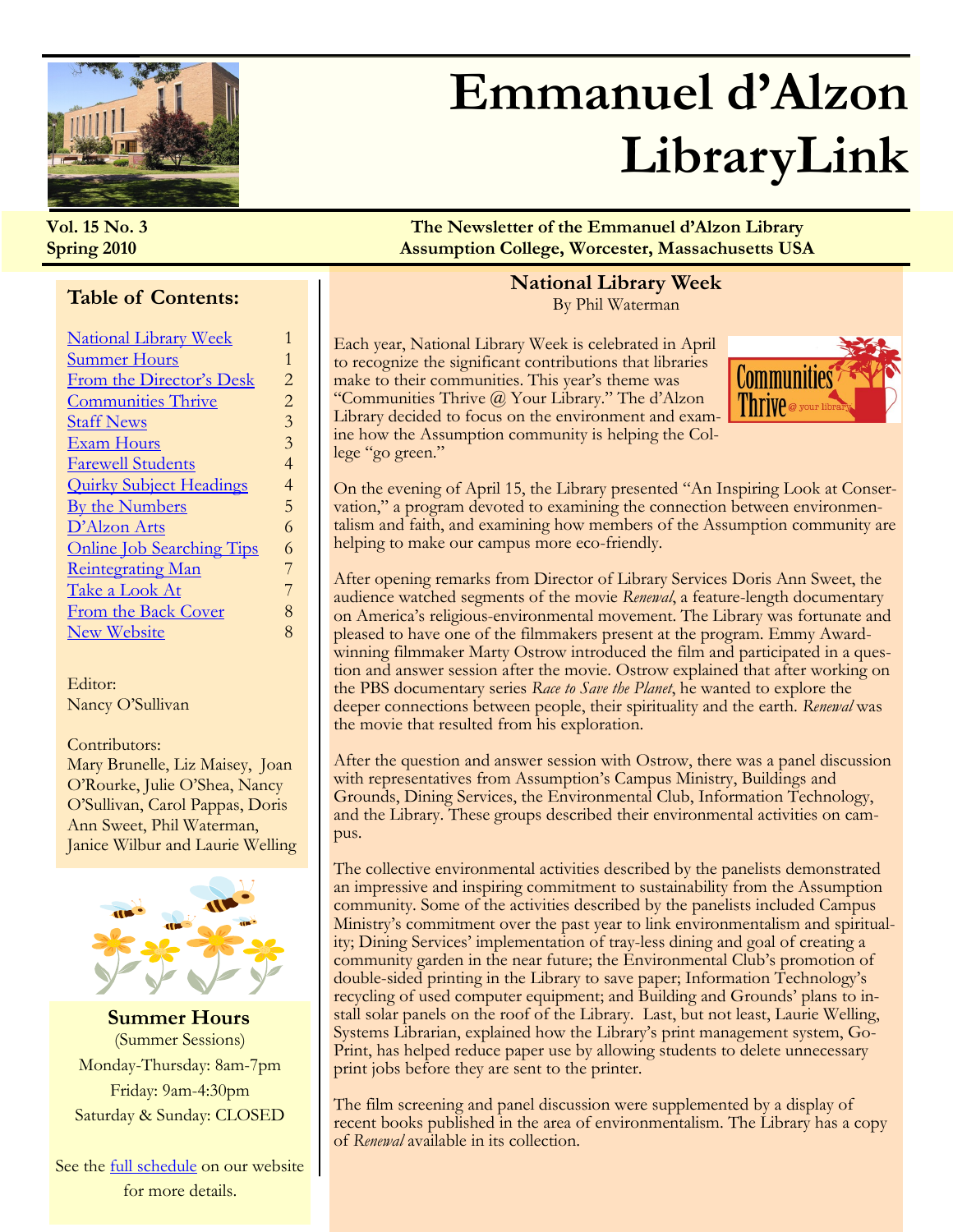<span id="page-0-0"></span>

## **Emmanuel d'Alzon LibraryLink**

#### **Table of Contents:**

| <b>Summer Hours</b><br>From the Director's Desk<br><b>Communities Thrive</b><br><b>Staff News</b><br><b>Exam Hours</b><br><b>Farewell Students</b><br><b>Quirky Subject Headings</b><br><b>By the Numbers</b><br>D'Alzon Arts<br><b>Online Job Searching Tips</b><br><b>Reintegrating Man</b><br>Take a Look At<br>From the Back Cover | <b>National Library Week</b> |                |
|----------------------------------------------------------------------------------------------------------------------------------------------------------------------------------------------------------------------------------------------------------------------------------------------------------------------------------------|------------------------------|----------------|
|                                                                                                                                                                                                                                                                                                                                        |                              | $\mathbf{1}$   |
|                                                                                                                                                                                                                                                                                                                                        |                              | $\overline{2}$ |
|                                                                                                                                                                                                                                                                                                                                        |                              | $\overline{2}$ |
|                                                                                                                                                                                                                                                                                                                                        |                              | 3              |
|                                                                                                                                                                                                                                                                                                                                        |                              | 3              |
|                                                                                                                                                                                                                                                                                                                                        |                              | 4              |
|                                                                                                                                                                                                                                                                                                                                        |                              | 4              |
|                                                                                                                                                                                                                                                                                                                                        |                              | 5              |
|                                                                                                                                                                                                                                                                                                                                        |                              | 6              |
|                                                                                                                                                                                                                                                                                                                                        |                              | 6              |
|                                                                                                                                                                                                                                                                                                                                        |                              | 7              |
|                                                                                                                                                                                                                                                                                                                                        |                              | 7              |
|                                                                                                                                                                                                                                                                                                                                        |                              | 8              |
|                                                                                                                                                                                                                                                                                                                                        | <b>New Website</b>           | 8              |

Editor: Nancy O'Sullivan

#### Contributors:

Mary Brunelle, Liz Maisey, Joan O'Rourke, Julie O'Shea, Nancy O'Sullivan, Carol Pappas, Doris Ann Sweet, Phil Waterman, Janice Wilbur and Laurie Welling



**Summer Hours** (Summer Sessions) Monday-Thursday: 8am-7pm Friday: 9am-4:30pm Saturday & Sunday: CLOSED

See the [full schedule](http://www1.assumption.edu/dept/Library/resources/hours.html#regsummer) on our website for more details.

**Vol. 15 No. 3 The Newsletter of the Emmanuel d'Alzon Library Spring 2010 Assumption College, Worcester, Massachusetts USA**

#### **National Library Week** By Phil Waterman

Each year, National Library Week is celebrated in April to recognize the significant contributions that libraries make to their communities. This year's theme was "Communities Thrive @ Your Library." The d'Alzon Library decided to focus on the environment and examine how the Assumption community is helping the College "go green."



On the evening of April 15, the Library presented "An Inspiring Look at Conservation," a program devoted to examining the connection between environmentalism and faith, and examining how members of the Assumption community are helping to make our campus more eco-friendly.

After opening remarks from Director of Library Services Doris Ann Sweet, the audience watched segments of the movie *Renewal*, a feature-length documentary on America's religious-environmental movement. The Library was fortunate and pleased to have one of the filmmakers present at the program. Emmy Awardwinning filmmaker Marty Ostrow introduced the film and participated in a question and answer session after the movie. Ostrow explained that after working on the PBS documentary series *Race to Save the Planet*, he wanted to explore the deeper connections between people, their spirituality and the earth. *Renewal* was the movie that resulted from his exploration.

After the question and answer session with Ostrow, there was a panel discussion with representatives from Assumption's Campus Ministry, Buildings and Grounds, Dining Services, the Environmental Club, Information Technology, and the Library. These groups described their environmental activities on campus.

The collective environmental activities described by the panelists demonstrated an impressive and inspiring commitment to sustainability from the Assumption community. Some of the activities described by the panelists included Campus Ministry's commitment over the past year to link environmentalism and spirituality; Dining Services' implementation of tray-less dining and goal of creating a community garden in the near future; the Environmental Club's promotion of double-sided printing in the Library to save paper; Information Technology's recycling of used computer equipment; and Building and Grounds' plans to install solar panels on the roof of the Library. Last, but not least, Laurie Welling, Systems Librarian, explained how the Library's print management system, Go-Print, has helped reduce paper use by allowing students to delete unnecessary print jobs before they are sent to the printer.

The film screening and panel discussion were supplemented by a display of recent books published in the area of environmentalism. The Library has a copy of *Renewal* available in its collection.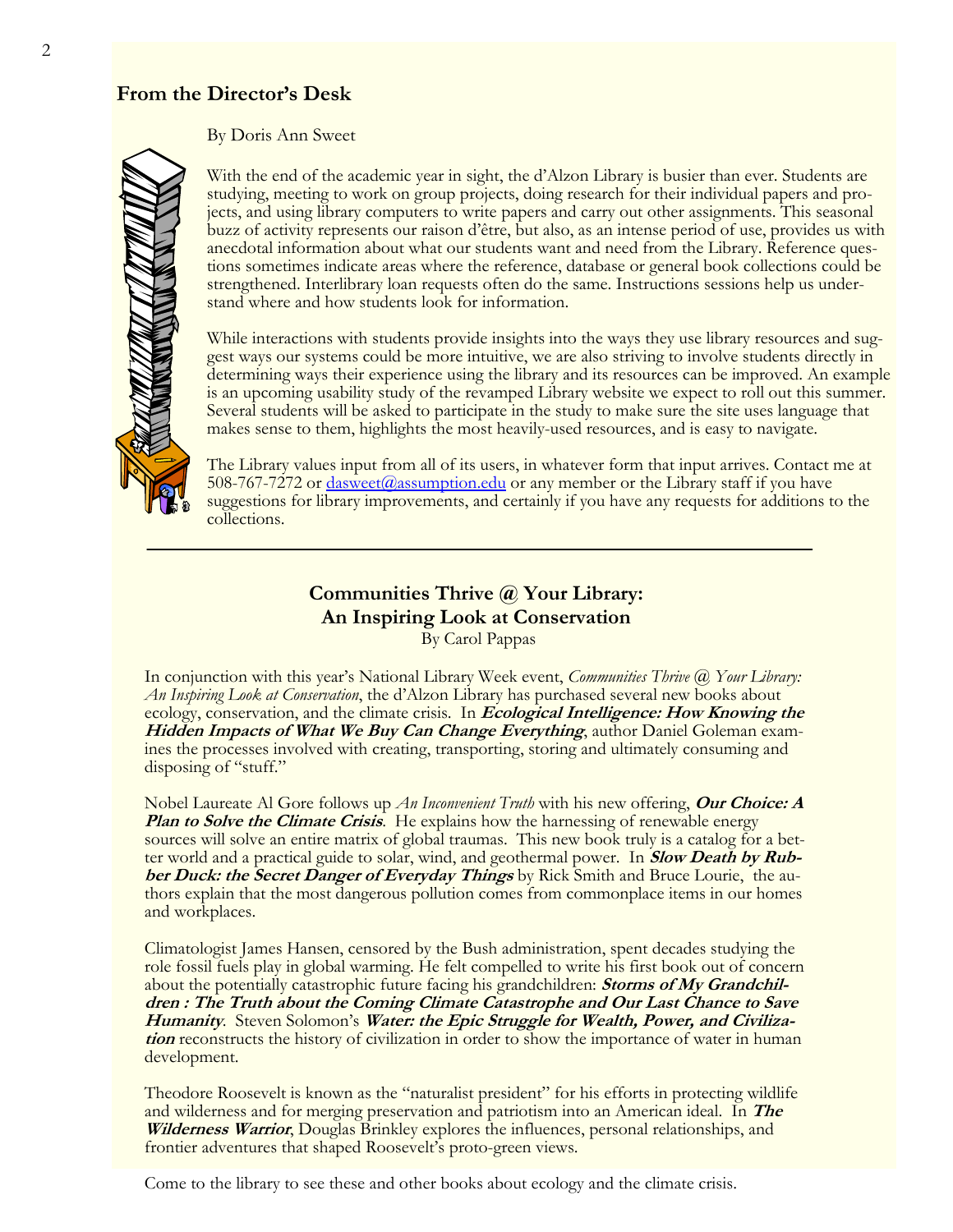#### <span id="page-1-0"></span>**From the Director's Desk**

By Doris Ann Sweet

With the end of the academic year in sight, the d'Alzon Library is busier than ever. Students are studying, meeting to work on group projects, doing research for their individual papers and projects, and using library computers to write papers and carry out other assignments. This seasonal buzz of activity represents our raison d'être, but also, as an intense period of use, provides us with anecdotal information about what our students want and need from the Library. Reference questions sometimes indicate areas where the reference, database or general book collections could be strengthened. Interlibrary loan requests often do the same. Instructions sessions help us understand where and how students look for information.

While interactions with students provide insights into the ways they use library resources and suggest ways our systems could be more intuitive, we are also striving to involve students directly in determining ways their experience using the library and its resources can be improved. An example is an upcoming usability study of the revamped Library website we expect to roll out this summer. Several students will be asked to participate in the study to make sure the site uses language that makes sense to them, highlights the most heavily-used resources, and is easy to navigate.

The Library values input from all of its users, in whatever form that input arrives. Contact me at 508-767-7272 or [dasweet@assumption.edu](mailto:dasweet@assumption.edu) or any member or the Library staff if you have suggestions for library improvements, and certainly if you have any requests for additions to the collections.

### **Communities Thrive @ Your Library: An Inspiring Look at Conservation**

By Carol Pappas

In conjunction with this year's National Library Week event, *Communities Thrive @ Your Library: An Inspiring Look at Conservation*, the d'Alzon Library has purchased several new books about ecology, conservation, and the climate crisis. In **Ecological Intelligence: How Knowing the Hidden Impacts of What We Buy Can Change Everything**, author Daniel Goleman examines the processes involved with creating, transporting, storing and ultimately consuming and disposing of "stuff."

Nobel Laureate Al Gore follows up *An Inconvenient Truth* with his new offering, **Our Choice: A Plan to Solve the Climate Crisis.** He explains how the harnessing of renewable energy sources will solve an entire matrix of global traumas. This new book truly is a catalog for a better world and a practical guide to solar, wind, and geothermal power. In **Slow Death by Rubber Duck: the Secret Danger of Everyday Things** by Rick Smith and Bruce Lourie, the authors explain that the most dangerous pollution comes from commonplace items in our homes and workplaces.

Climatologist James Hansen, censored by the Bush administration, spent decades studying the role fossil fuels play in global warming. He felt compelled to write his first book out of concern about the potentially catastrophic future facing his grandchildren: **Storms of My Grandchildren : The Truth about the Coming Climate Catastrophe and Our Last Chance to Save Humanity**. Steven Solomon's **Water: the Epic Struggle for Wealth, Power, and Civilization** reconstructs the history of civilization in order to show the importance of water in human development.

Theodore Roosevelt is known as the "naturalist president" for his efforts in protecting wildlife and wilderness and for merging preservation and patriotism into an American ideal. In **The Wilderness Warrior**, Douglas Brinkley explores the influences, personal relationships, and frontier adventures that shaped Roosevelt's proto-green views.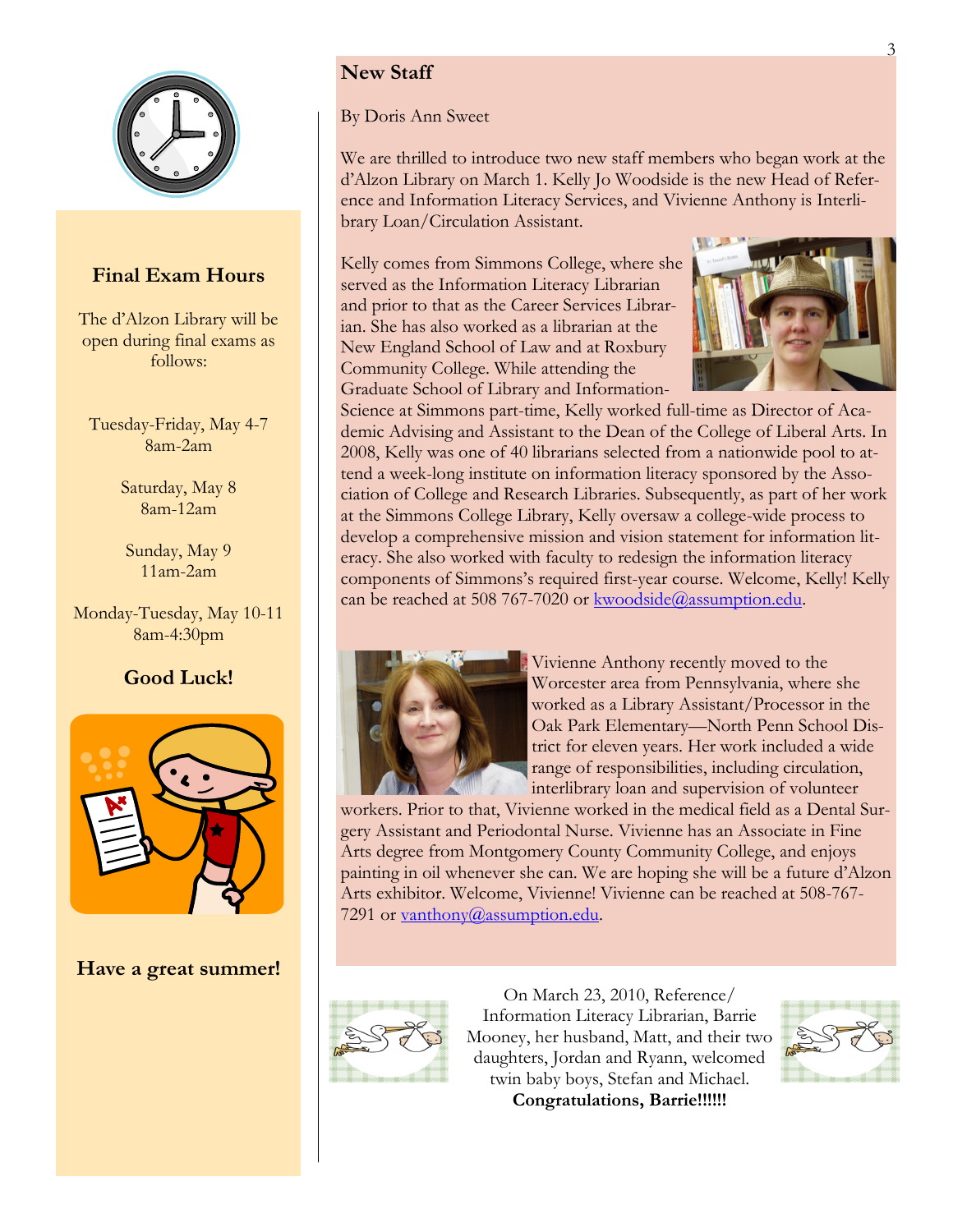<span id="page-2-0"></span>

#### **Final Exam Hours**

The d'Alzon Library will be open during final exams as follows:

Tuesday-Friday, May 4-7 8am-2am

> Saturday, May 8 8am-12am

Sunday, May 9 11am-2am

Monday-Tuesday, May 10-11 8am-4:30pm

#### **Good Luck!**



**Have a great summer!**

#### **New Staff**

By Doris Ann Sweet

We are thrilled to introduce two new staff members who began work at the d'Alzon Library on March 1. Kelly Jo Woodside is the new Head of Reference and Information Literacy Services, and Vivienne Anthony is Interlibrary Loan/Circulation Assistant.

Kelly comes from Simmons College, where she served as the Information Literacy Librarian and prior to that as the Career Services Librarian. She has also worked as a librarian at the New England School of Law and at Roxbury Community College. While attending the Graduate School of Library and Information-



Science at Simmons part-time, Kelly worked full-time as Director of Academic Advising and Assistant to the Dean of the College of Liberal Arts. In 2008, Kelly was one of 40 librarians selected from a nationwide pool to attend a week-long institute on information literacy sponsored by the Association of College and Research Libraries. Subsequently, as part of her work at the Simmons College Library, Kelly oversaw a college-wide process to develop a comprehensive mission and vision statement for information literacy. She also worked with faculty to redesign the information literacy components of Simmons's required first-year course. Welcome, Kelly! Kelly can be reached at 508 767-7020 or [kwoodside@assumption.edu.](mailto:kwoodside@assumption.edu)



Vivienne Anthony recently moved to the Worcester area from Pennsylvania, where she worked as a Library Assistant/Processor in the Oak Park Elementary—North Penn School District for eleven years. Her work included a wide range of responsibilities, including circulation, interlibrary loan and supervision of volunteer

workers. Prior to that, Vivienne worked in the medical field as a Dental Surgery Assistant and Periodontal Nurse. Vivienne has an Associate in Fine Arts degree from Montgomery County Community College, and enjoys painting in oil whenever she can. We are hoping she will be a future d'Alzon Arts exhibitor. Welcome, Vivienne! Vivienne can be reached at 508-767 7291 or [vanthony@assumption.edu.](mailto:vanthony@assumption.edu)



On March 23, 2010, Reference/ Information Literacy Librarian, Barrie Mooney, her husband, Matt, and their two daughters, Jordan and Ryann, welcomed twin baby boys, Stefan and Michael. **Congratulations, Barrie!!!!!!**

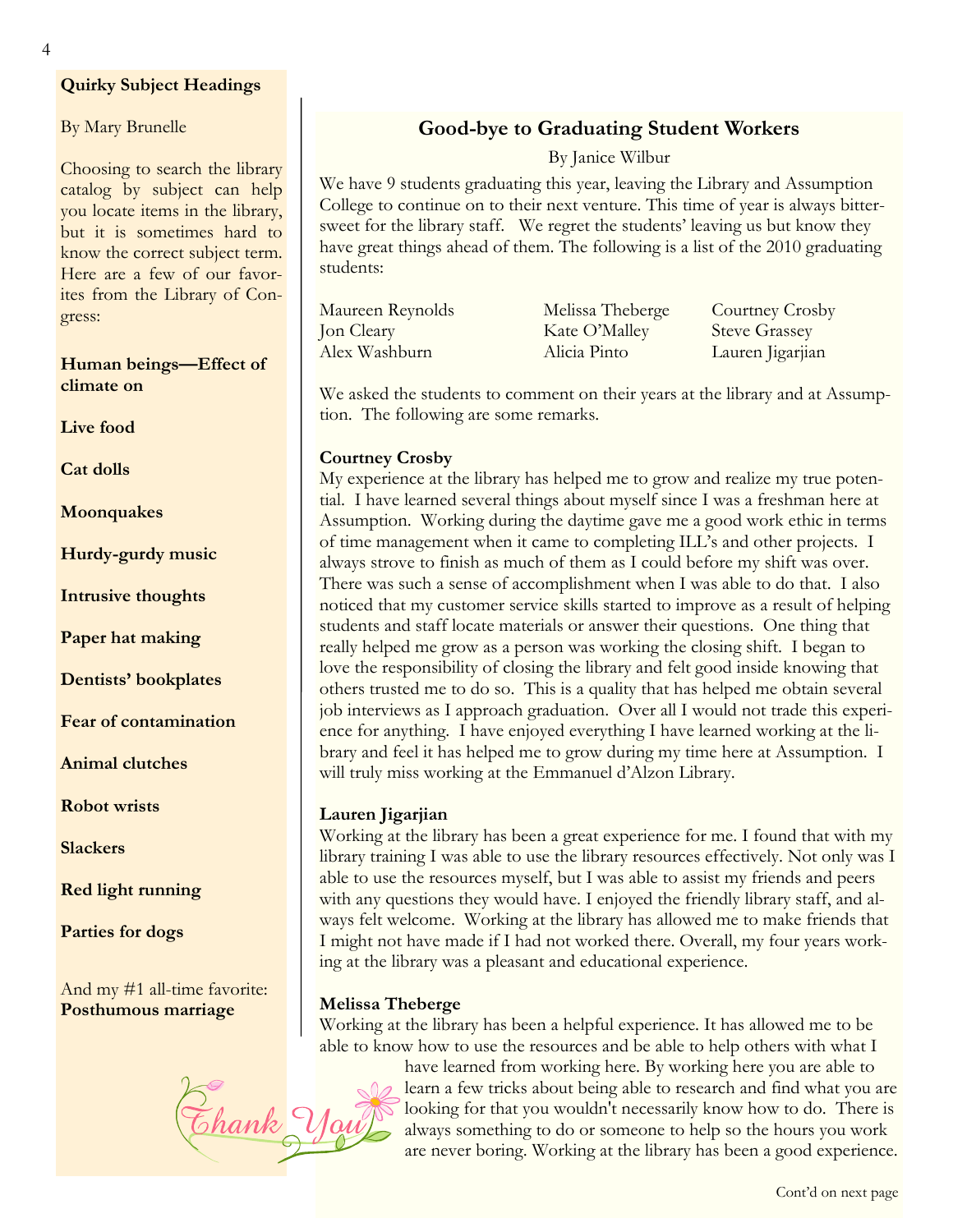#### <span id="page-3-0"></span>**Quirky Subject Headings**

By Mary Brunelle

Choosing to search the library catalog by subject can help you locate items in the library, but it is sometimes hard to know the correct subject term. Here are a few of our favorites from the Library of Congress:

#### **Human beings—Effect of climate on**

**Live food**

**Cat dolls**

**Moonquakes**

**Hurdy-gurdy music**

**Intrusive thoughts**

**Paper hat making**

**Dentists' bookplates** 

**Fear of contamination** 

**Animal clutches**

**Robot wrists**

**Slackers**

**Red light running**

**Parties for dogs**

And my #1 all-time favorite: **Posthumous marriage**

# **Melissa Theberge**



**Good-bye to Graduating Student Workers**

By Janice Wilbur

We have 9 students graduating this year, leaving the Library and Assumption College to continue on to their next venture. This time of year is always bittersweet for the library staff. We regret the students' leaving us but know they have great things ahead of them. The following is a list of the 2010 graduating students:

| Maureen Reynolds | Melissa Theberge | Courtney Crosby      |
|------------------|------------------|----------------------|
| Jon Cleary       | Kate O'Malley    | <b>Steve Grassey</b> |
| Alex Washburn    | Alicia Pinto     | Lauren Jigarjian     |

We asked the students to comment on their years at the library and at Assumption. The following are some remarks.

#### **Courtney Crosby**

My experience at the library has helped me to grow and realize my true potential. I have learned several things about myself since I was a freshman here at Assumption. Working during the daytime gave me a good work ethic in terms of time management when it came to completing ILL's and other projects. I always strove to finish as much of them as I could before my shift was over. There was such a sense of accomplishment when I was able to do that. I also noticed that my customer service skills started to improve as a result of helping students and staff locate materials or answer their questions. One thing that really helped me grow as a person was working the closing shift. I began to love the responsibility of closing the library and felt good inside knowing that others trusted me to do so. This is a quality that has helped me obtain several job interviews as I approach graduation. Over all I would not trade this experience for anything. I have enjoyed everything I have learned working at the library and feel it has helped me to grow during my time here at Assumption. I will truly miss working at the Emmanuel d'Alzon Library.

#### **Lauren Jigarjian**

Working at the library has been a great experience for me. I found that with my library training I was able to use the library resources effectively. Not only was I able to use the resources myself, but I was able to assist my friends and peers with any questions they would have. I enjoyed the friendly library staff, and always felt welcome. Working at the library has allowed me to make friends that I might not have made if I had not worked there. Overall, my four years working at the library was a pleasant and educational experience.

Working at the library has been a helpful experience. It has allowed me to be able to know how to use the resources and be able to help others with what I

> have learned from working here. By working here you are able to learn a few tricks about being able to research and find what you are looking for that you wouldn't necessarily know how to do. There is always something to do or someone to help so the hours you work are never boring. Working at the library has been a good experience.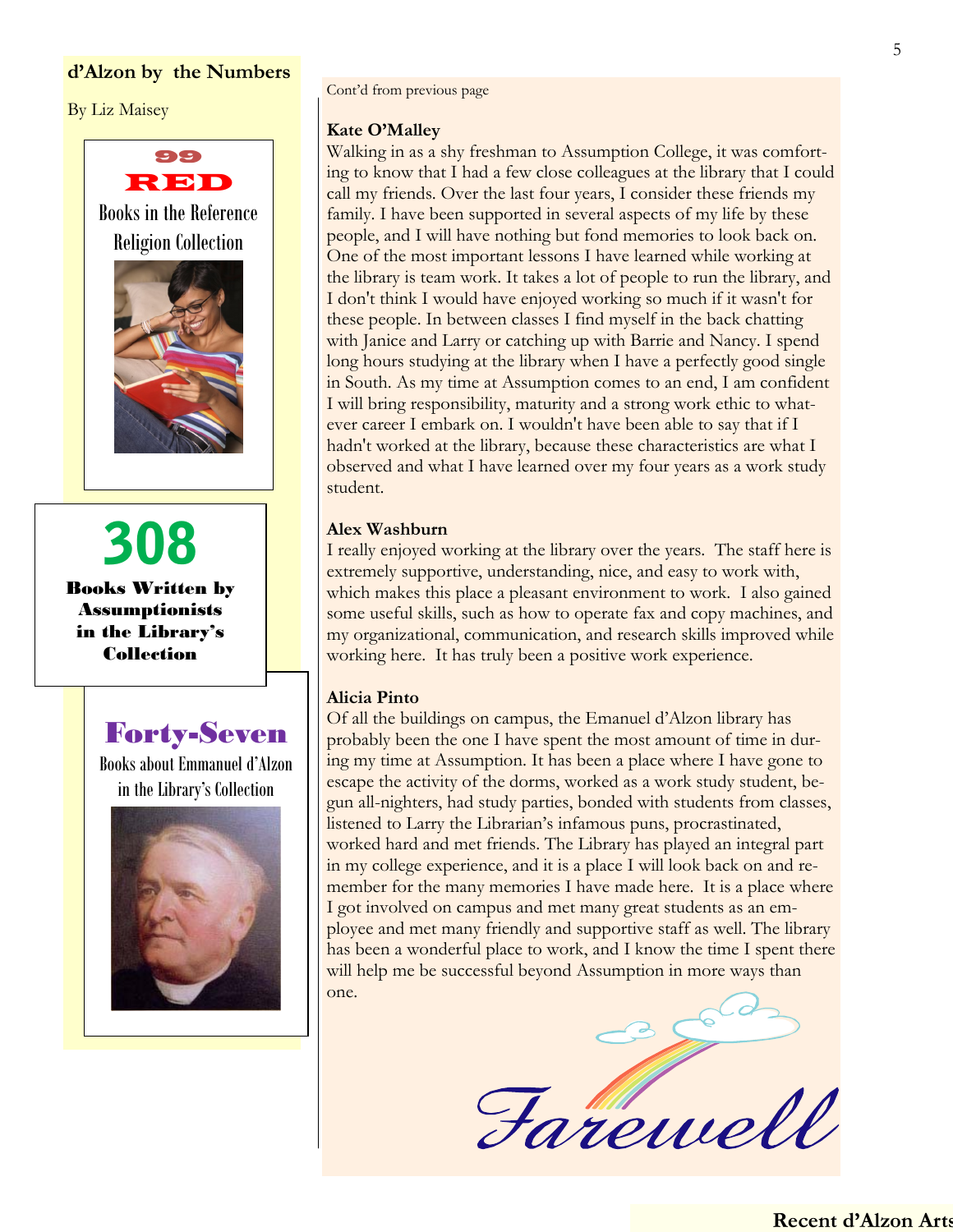#### <span id="page-4-0"></span>**d'Alzon by the Numbers**

By Liz Maisey



308 Books Written by Assumptionists in the Library's Collection

Forty-Seven

Books about Emmanuel d'Alzon in the Library's Collection



Cont'd from previous page

#### **Kate O'Malley**

Walking in as a shy freshman to Assumption College, it was comforting to know that I had a few close colleagues at the library that I could call my friends. Over the last four years, I consider these friends my family. I have been supported in several aspects of my life by these people, and I will have nothing but fond memories to look back on. One of the most important lessons I have learned while working at the library is team work. It takes a lot of people to run the library, and I don't think I would have enjoyed working so much if it wasn't for these people. In between classes I find myself in the back chatting with Janice and Larry or catching up with Barrie and Nancy. I spend long hours studying at the library when I have a perfectly good single in South. As my time at Assumption comes to an end, I am confident I will bring responsibility, maturity and a strong work ethic to whatever career I embark on. I wouldn't have been able to say that if I hadn't worked at the library, because these characteristics are what I observed and what I have learned over my four years as a work study student.

#### **Alex Washburn**

I really enjoyed working at the library over the years. The staff here is extremely supportive, understanding, nice, and easy to work with, which makes this place a pleasant environment to work. I also gained some useful skills, such as how to operate fax and copy machines, and my organizational, communication, and research skills improved while working here. It has truly been a positive work experience.

#### **Alicia Pinto**

Of all the buildings on campus, the Emanuel d'Alzon library has probably been the one I have spent the most amount of time in during my time at Assumption. It has been a place where I have gone to escape the activity of the dorms, worked as a work study student, begun all-nighters, had study parties, bonded with students from classes, listened to Larry the Librarian's infamous puns, procrastinated, worked hard and met friends. The Library has played an integral part in my college experience, and it is a place I will look back on and remember for the many memories I have made here. It is a place where I got involved on campus and met many great students as an employee and met many friendly and supportive staff as well. The library has been a wonderful place to work, and I know the time I spent there will help me be successful beyond Assumption in more ways than one.

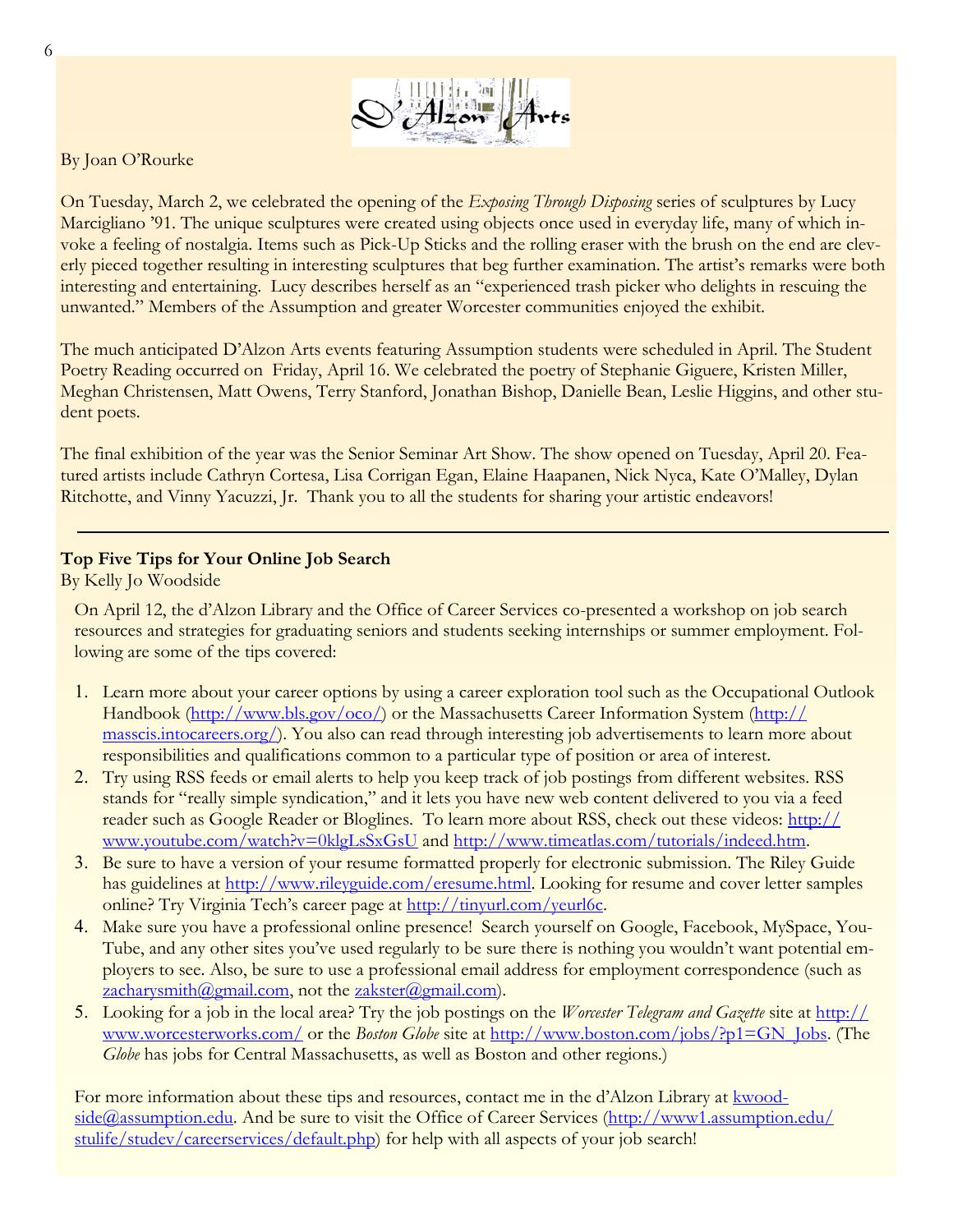

<span id="page-5-0"></span>By Joan O'Rourke

On Tuesday, March 2, we celebrated the opening of the *Exposing Through Disposing* series of sculptures by Lucy Marcigliano '91. The unique sculptures were created using objects once used in everyday life, many of which invoke a feeling of nostalgia. Items such as Pick-Up Sticks and the rolling eraser with the brush on the end are cleverly pieced together resulting in interesting sculptures that beg further examination. The artist's remarks were both interesting and entertaining. Lucy describes herself as an "experienced trash picker who delights in rescuing the unwanted." Members of the Assumption and greater Worcester communities enjoyed the exhibit.

The much anticipated D'Alzon Arts events featuring Assumption students were scheduled in April. The Student Poetry Reading occurred on Friday, April 16. We celebrated the poetry of Stephanie Giguere, Kristen Miller, Meghan Christensen, Matt Owens, Terry Stanford, Jonathan Bishop, Danielle Bean, Leslie Higgins, and other student poets.

The final exhibition of the year was the Senior Seminar Art Show. The show opened on Tuesday, April 20. Featured artists include Cathryn Cortesa, Lisa Corrigan Egan, Elaine Haapanen, Nick Nyca, Kate O'Malley, Dylan Ritchotte, and Vinny Yacuzzi, Jr. Thank you to all the students for sharing your artistic endeavors!

#### **Top Five Tips for Your Online Job Search**

By Kelly Jo Woodside

On April 12, the d'Alzon Library and the Office of Career Services co-presented a workshop on job search resources and strategies for graduating seniors and students seeking internships or summer employment. Following are some of the tips covered:

- 1. Learn more about your career options by using a career exploration tool such as the Occupational Outlook Handbook ([http://www.bls.gov/oco/\)](http://www.bls.gov/oco/) or the Massachusetts Career Information System ([http://](http://masscis.intocareers.org/) [masscis.intocareers.org/\).](http://masscis.intocareers.org/) You also can read through interesting job advertisements to learn more about responsibilities and qualifications common to a particular type of position or area of interest.
- 2. Try using RSS feeds or email alerts to help you keep track of job postings from different websites. RSS stands for "really simple syndication," and it lets you have new web content delivered to you via a feed reader such as Google Reader or Bloglines. To learn more about RSS, check out these videos: [http://](http://www.youtube.com/watch?v=0klgLsSxGsU) [www.youtube.com/watch?v=0klgLsSxGsU](http://www.youtube.com/watch?v=0klgLsSxGsU) and [http://www.timeatlas.com/tutorials/indeed.htm.](http://www.timeatlas.com/tutorials/indeed.htm)
- 3. Be sure to have a version of your resume formatted properly for electronic submission. The Riley Guide has guidelines at [http://www.rileyguide.com/eresume.html.](http://www.rileyguide.com/eresume.html) Looking for resume and cover letter samples online? Try Virginia Tech's career page at [http://tinyurl.com/yeurl6c.](http://tinyurl.com/yeurl6c)
- 4. Make sure you have a professional online presence! Search yourself on Google, Facebook, MySpace, You-Tube, and any other sites you've used regularly to be sure there is nothing you wouldn't want potential employers to see. Also, be sure to use a professional email address for employment correspondence (such as [zacharysmith@gmail.com,](mailto:zacharysmith@gmail.com) not the [zakster@gmail.com\).](mailto:zakster@gmail.com)
- 5. Looking for a job in the local area? Try the job postings on the *Worcester Telegram and Gazette* site at [http://](http://www.worcesterworks.com/) [www.worcesterworks.com/](http://www.worcesterworks.com/) or the *Boston Globe* site at [http://www.boston.com/jobs/?p1=GN\\_Jobs.](http://www.boston.com/jobs/?p1=GN_Jobs) (The *Globe* has jobs for Central Massachusetts, as well as Boston and other regions.)

For more information about these tips and resources, contact me in the d'Alzon Library at [kwood](mailto:kwoodside@assumption.edu)[side@assumption.edu.](mailto:kwoodside@assumption.edu) And be sure to visit the Office of Career Services ([http://www1.assumption.edu/](http://www1.assumption.edu/stulife/studev/careerservices/default.php) [stulife/studev/careerservices/default.php\)](http://www1.assumption.edu/stulife/studev/careerservices/default.php) for help with all aspects of your job search!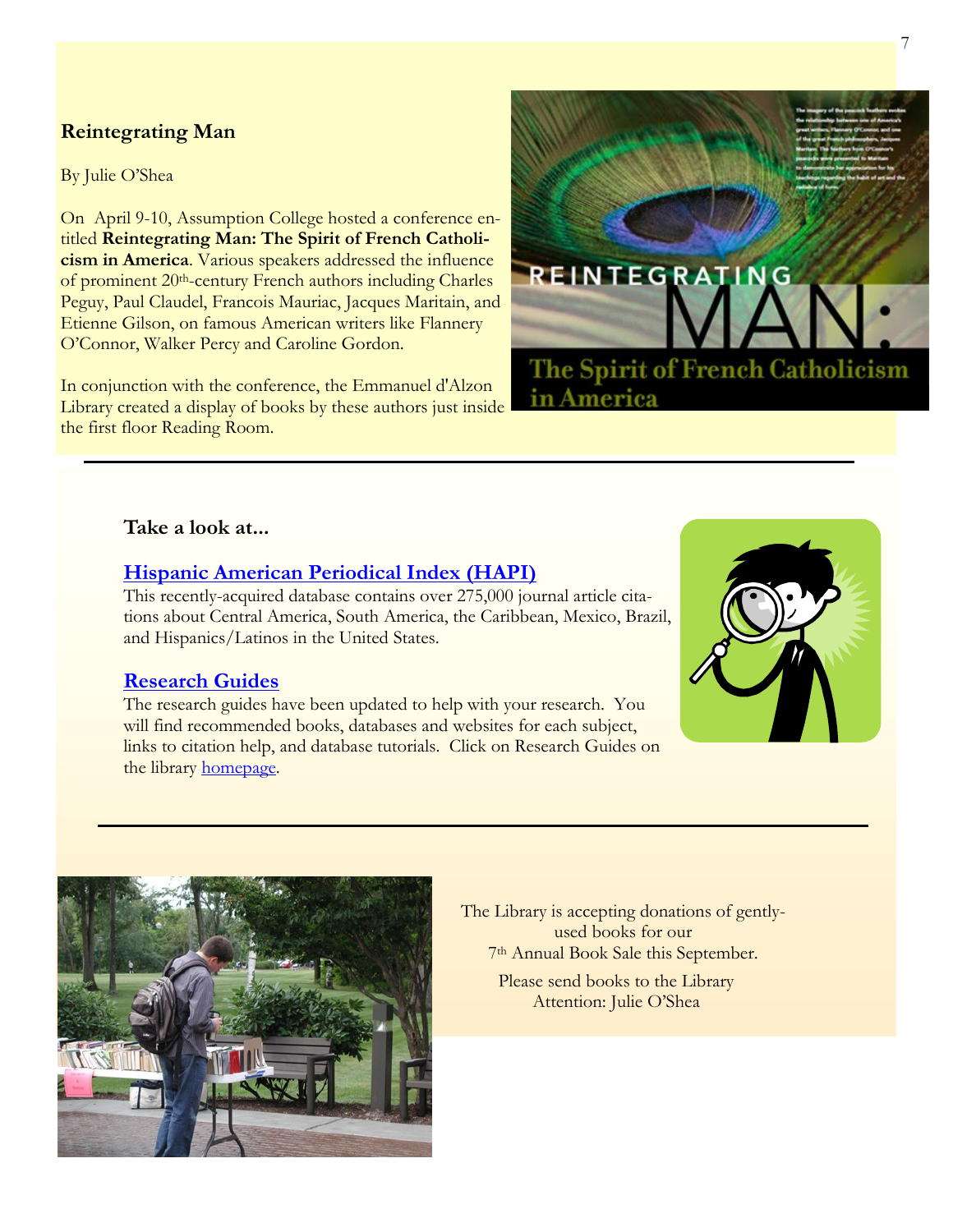#### <span id="page-6-0"></span>**Reintegrating Man**

By Julie O'Shea

On April 9-10, Assumption College hosted a conference entitled **Reintegrating Man: The Spirit of French Catholicism in America**. Various speakers addressed the influence of prominent 20<sup>th</sup>-century French authors including Charles Peguy, Paul Claudel, Francois Mauriac, Jacques Maritain, and Etienne Gilson, on famous American writers like Flannery O'Connor, Walker Percy and Caroline Gordon.

In conjunction with the conference, the Emmanuel d'Alzon Library created a display of books by these authors just inside the first floor Reading Room.



#### **Take a look at...**

#### **[Hispanic American Periodical Index \(HAPI\)](http://hapi.ucla.edu/web/index.php?token=08731a6522cbfceb1bceb9d2c875bd11C:/Users/naosullivan/Documents/ACRL%20NEC%20Packet%20Info.docx)**

This recently-acquired database contains over 275,000 journal article citations about Central America, South America, the Caribbean, Mexico, Brazil, and Hispanics/Latinos in the United States.

#### **[Research Guides](http://emmanueldalzonlibrary.wordpress.com/)**

The research guides have been updated to help with your research. You will find recommended books, databases and websites for each subject, links to citation help, and database tutorials. Click on Research Guides on the library [homepage.](http://www1.assumption.edu/dept/Library/libraryindex.html)





The Library is accepting donations of gentlyused books for our 7th Annual Book Sale this September.

> Please send books to the Library Attention: Julie O'Shea

7